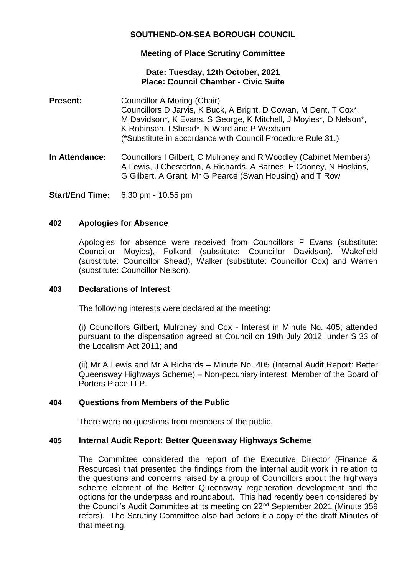# **SOUTHEND-ON-SEA BOROUGH COUNCIL**

## **Meeting of Place Scrutiny Committee**

#### **Date: Tuesday, 12th October, 2021 Place: Council Chamber - Civic Suite**

- **Present:** Councillor A Moring (Chair) Councillors D Jarvis, K Buck, A Bright, D Cowan, M Dent, T Cox\*, M Davidson\*, K Evans, S George, K Mitchell, J Moyies\*, D Nelson\*, K Robinson, I Shead\*, N Ward and P Wexham (\*Substitute in accordance with Council Procedure Rule 31.)
- **In Attendance:** Councillors I Gilbert, C Mulroney and R Woodley (Cabinet Members) A Lewis, J Chesterton, A Richards, A Barnes, E Cooney, N Hoskins, G Gilbert, A Grant, Mr G Pearce (Swan Housing) and T Row

**Start/End Time:** 6.30 pm - 10.55 pm

#### **402 Apologies for Absence**

Apologies for absence were received from Councillors F Evans (substitute: Councillor Moyies), Folkard (substitute: Councillor Davidson), Wakefield (substitute: Councillor Shead), Walker (substitute: Councillor Cox) and Warren (substitute: Councillor Nelson).

#### **403 Declarations of Interest**

The following interests were declared at the meeting:

(i) Councillors Gilbert, Mulroney and Cox - Interest in Minute No. 405; attended pursuant to the dispensation agreed at Council on 19th July 2012, under S.33 of the Localism Act 2011; and

(ii) Mr A Lewis and Mr A Richards – Minute No. 405 (Internal Audit Report: Better Queensway Highways Scheme) – Non-pecuniary interest: Member of the Board of Porters Place LLP.

### **404 Questions from Members of the Public**

There were no questions from members of the public.

#### **405 Internal Audit Report: Better Queensway Highways Scheme**

The Committee considered the report of the Executive Director (Finance & Resources) that presented the findings from the internal audit work in relation to the questions and concerns raised by a group of Councillors about the highways scheme element of the Better Queensway regeneration development and the options for the underpass and roundabout. This had recently been considered by the Council's Audit Committee at its meeting on 22nd September 2021 (Minute 359 refers). The Scrutiny Committee also had before it a copy of the draft Minutes of that meeting.